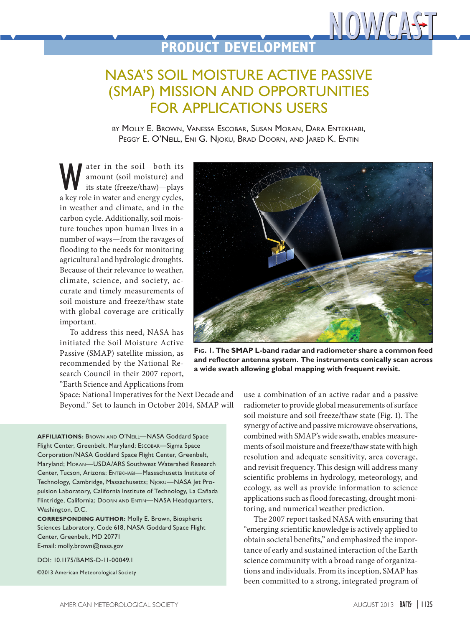## **PRODUCT DEVELOPMENT**

## NASA'S SOIL MOISTURE ACTIVE PASSIVE (SMAP) MISSION AND OPPORTUNITIES FOR APPLICATIONS USERS

by Molly E. Brown, Vanessa Escobar, Susan Moran, Dara Entekhabi, PEGGY E. O'NEILL, ENI G. NJOKU, BRAD DOORN, AND JARED K. ENTIN

We ater in the soil—both its<br>amount (soil moisture) and<br>its state (freeze/thaw)—plays<br>a key role in water and energy cycles amount (soil moisture) and its state (freeze/thaw)—plays a key role in water and energy cycles, in weather and climate, and in the carbon cycle. Additionally, soil moisture touches upon human lives in a number of ways—from the ravages of flooding to the needs for monitoring agricultural and hydrologic droughts. Because of their relevance to weather, climate, science, and society, accurate and timely measurements of soil moisture and freeze/thaw state with global coverage are critically important.

To address this need, NASA has initiated the Soil Moisture Active Passive (SMAP) satellite mission, as recommended by the National Research Council in their 2007 report, "Earth Science and Applications from

Space: National Imperatives for the Next Decade and Beyond." Set to launch in October 2014, SMAP will

**AFFILIATIONS:** Brown and O'Neill—NASA Goddard Space Flight Center, Greenbelt, Maryland; Escobar-Sigma Space Corporation/NASA Goddard Space Flight Center, Greenbelt, Maryland; Moran—USDA/ARS Southwest Watershed Research Center, Tucson, Arizona; Entekhabi—Massachusetts Institute of Technology, Cambridge, Massachusetts; Njoku—NASA Jet Propulsion Laboratory, California Institute of Technology, La Cañada Flintridge, California; DOORN AND ENTIN-NASA Headquarters, Washington, D.C.

**CORRESPONDING AUTHOR:** Molly E. Brown, Biospheric Sciences Laboratory, Code 618, NASA Goddard Space Flight Center, Greenbelt, MD 20771 E-mail: [molly.brown@nasa.gov](mailto:molly.brown%40nasa.gov?subject=)

DOI: 10.1175/BAMS-D-11-00049.1

©2013 American Meteorological Society



NOWCASE

**Fig. 1. The SMAP L-band radar and radiometer share a common feed and reflector antenna system. The instruments conically scan across a wide swath allowing global mapping with frequent revisit.**

use a combination of an active radar and a passive radiometer to provide global measurements of surface soil moisture and soil freeze/thaw state (Fig. 1). The synergy of active and passive microwave observations, combined with SMAP's wide swath, enables measurements of soil moisture and freeze/thaw state with high resolution and adequate sensitivity, area coverage, and revisit frequency. This design will address many scientific problems in hydrology, meteorology, and ecology, as well as provide information to science applications such as flood forecasting, drought monitoring, and numerical weather prediction.

The 2007 report tasked NASA with ensuring that "emerging scientific knowledge is actively applied to obtain societal benefits," and emphasized the importance of early and sustained interaction of the Earth science community with a broad range of organizations and individuals. From its inception, SMAP has been committed to a strong, integrated program of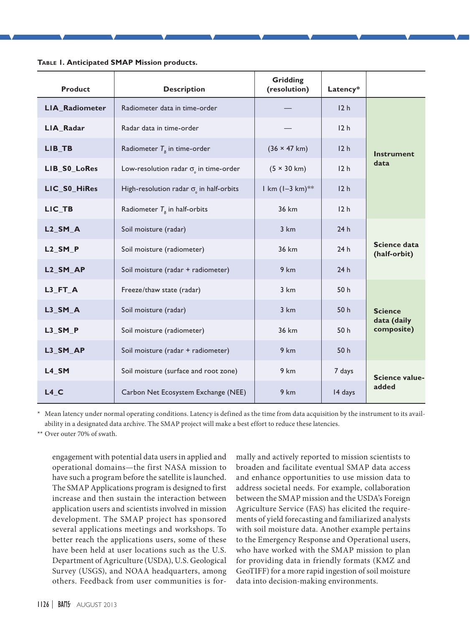| <b>Product</b>         | <b>Description</b>                                         | Gridding<br>(resolution)    | Latency*        |                                             |
|------------------------|------------------------------------------------------------|-----------------------------|-----------------|---------------------------------------------|
| LIA_Radiometer         | Radiometer data in time-order                              |                             | 12 <sub>h</sub> | <b>Instrument</b><br>data                   |
| LIA_Radar              | Radar data in time-order                                   |                             | 12 <sub>h</sub> |                                             |
| LIB TB                 | Radiometer $T_{\scriptscriptstyle R}$ in time-order        | $(36 \times 47 \text{ km})$ | 12 <sub>h</sub> |                                             |
| LIB_S0_LoRes           | Low-resolution radar $\sigma$ <sub>o</sub> in time-order   | $(5 \times 30 \text{ km})$  | 12 <sub>h</sub> |                                             |
| LIC_S0_HiRes           | High-resolution radar $\sigma$ <sub>o</sub> in half-orbits | $1 km (1 - 3 km)*$          | 12 <sub>h</sub> |                                             |
| LIC_TB                 | Radiometer $T_{\scriptscriptstyle R}$ in half-orbits       | 36 km                       | 12 <sub>h</sub> |                                             |
| $L2$ <sub>_</sub> SM_A | Soil moisture (radar)                                      | 3 km                        | 24h             | Science data<br>(half-orbit)                |
| $L2$ <sub>_</sub> SM_P | Soil moisture (radiometer)                                 | 36 km                       | 24h             |                                             |
| L <sub>2_SM_AP</sub>   | Soil moisture (radar + radiometer)                         | 9 km                        | 24h             |                                             |
| $L3$ <sub>_FT_A</sub>  | Freeze/thaw state (radar)                                  | 3 km                        | 50h             | <b>Science</b><br>data (daily<br>composite) |
| $L3_SM_A$              | Soil moisture (radar)                                      | 3 km                        | 50 h            |                                             |
| L3_SM_P                | Soil moisture (radiometer)                                 | 36 km                       | 50 h            |                                             |
| L3_SM_AP               | Soil moisture (radar + radiometer)                         | 9 km                        | 50h             |                                             |
| L4 SM                  | Soil moisture (surface and root zone)                      | 9 km                        | 7 days          | Science value-<br>added                     |
| $L4$ <sub>C</sub>      | Carbon Net Ecosystem Exchange (NEE)                        | 9 km                        | 14 days         |                                             |

**Table 1. Anticipated SMAP Mission products.**

Mean latency under normal operating conditions. Latency is defined as the time from data acquisition by the instrument to its availability in a designated data archive. The SMAP project will make a best effort to reduce these latencies.

Over outer 70% of swath.

engagement with potential data users in applied and operational domains—the first NASA mission to have such a program before the satellite is launched. The SMAP Applications program is designed to first increase and then sustain the interaction between application users and scientists involved in mission development. The SMAP project has sponsored several applications meetings and workshops. To better reach the applications users, some of these have been held at user locations such as the U.S. Department of Agriculture (USDA), U.S. Geological Survey (USGS), and NOAA headquarters, among others. Feedback from user communities is for-

mally and actively reported to mission scientists to broaden and facilitate eventual SMAP data access and enhance opportunities to use mission data to address societal needs. For example, collaboration between the SMAP mission and the USDA's Foreign Agriculture Service (FAS) has elicited the requirements of yield forecasting and familiarized analysts with soil moisture data. Another example pertains to the Emergency Response and Operational users, who have worked with the SMAP mission to plan for providing data in friendly formats (KMZ and GeoTIFF) for a more rapid ingestion of soil moisture data into decision-making environments.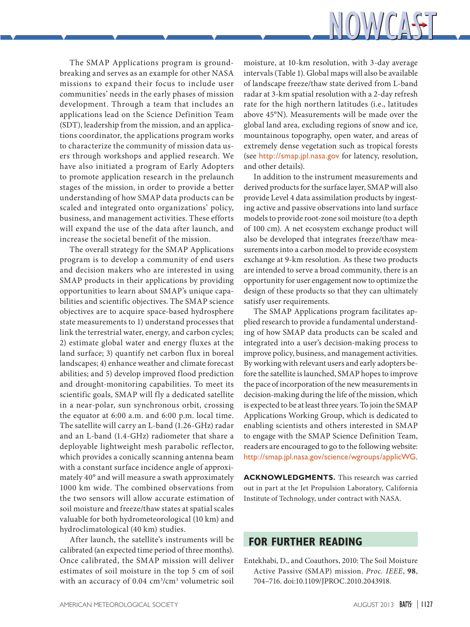

The SMAP Applications program is groundbreaking and serves as an example for other NASA missions to expand their focus to include user communities' needs in the early phases of mission development. Through a team that includes an applications lead on the Science Definition Team (SDT), leadership from the mission, and an applications coordinator, the applications program works to characterize the community of mission data users through workshops and applied research. We have also initiated a program of Early Adopters to promote application research in the prelaunch stages of the mission, in order to provide a better understanding of how SMAP data products can be scaled and integrated onto organizations' policy, business, and management activities. These efforts will expand the use of the data after launch, and increase the societal benefit of the mission.

The overall strategy for the SMAP Applications program is to develop a community of end users and decision makers who are interested in using SMAP products in their applications by providing opportunities to learn about SMAP's unique capabilities and scientific objectives. The SMAP science objectives are to acquire space-based hydrosphere state measurements to 1) understand processes that link the terrestrial water, energy, and carbon cycles; 2) estimate global water and energy fluxes at the land surface; 3) quantify net carbon flux in boreal landscapes; 4) enhance weather and climate forecast abilities; and 5) develop improved flood prediction and drought-monitoring capabilities. To meet its scientific goals, SMAP will fly a dedicated satellite in a near-polar, sun synchronous orbit, crossing the equator at 6:00 a.m. and 6:00 p.m. local time. The satellite will carry an L-band (1.26-GHz) radar and an L-band (1.4-GHz) radiometer that share a deployable lightweight mesh parabolic reflector, which provides a conically scanning antenna beam with a constant surface incidence angle of approximately 40° and will measure a swath approximately 1000 km wide. The combined observations from the two sensors will allow accurate estimation of soil moisture and freeze/thaw states at spatial scales valuable for both hydrometeorological (10 km) and hydroclimatological (40 km) studies.

After launch, the satellite's instruments will be calibrated (an expected time period of three months). Once calibrated, the SMAP mission will deliver estimates of soil moisture in the top 5 cm of soil with an accuracy of 0.04 cm<sup>3</sup>/cm<sup>3</sup> volumetric soil

moisture, at 10-km resolution, with 3-day average intervals (Table 1). Global maps will also be available of landscape freeze/thaw state derived from L-band radar at 3-km spatial resolution with a 2-day refresh rate for the high northern latitudes (i.e., latitudes above 45°N). Measurements will be made over the global land area, excluding regions of snow and ice, mountainous topography, open water, and areas of extremely dense vegetation such as tropical forests (see <http://smap.jpl.nasa.gov> for latency, resolution, and other details).

In addition to the instrument measurements and derived products for the surface layer, SMAP will also provide Level 4 data assimilation products by ingesting active and passive observations into land surface models to provide root-zone soil moisture (to a depth of 100 cm). A net ecosystem exchange product will also be developed that integrates freeze/thaw measurements into a carbon model to provide ecosystem exchange at 9-km resolution. As these two products are intended to serve a broad community, there is an opportunity for user engagement now to optimize the design of these products so that they can ultimately satisfy user requirements.

The SMAP Applications program facilitates applied research to provide a fundamental understanding of how SMAP data products can be scaled and integrated into a user's decision-making process to improve policy, business, and management activities. By working with relevant users and early adopters before the satellite is launched, SMAP hopes to improve the pace of incorporation of the new measurements in decision-making during the life of the mission, which is expected to be at least three years. To join the SMAP Applications Working Group, which is dedicated to enabling scientists and others interested in SMAP to engage with the SMAP Science Definition Team, readers are encouraged to go to the following website: <http://smap.jpl.nasa.gov/science/wgroups/applicWG>.

**ACKNOWLEDGMENTS.** This research was carried out in part at the Jet Propulsion Laboratory, California Institute of Technology, under contract with NASA.

## **FOR FURTHER READING**

Entekhabi, D., and Coauthors, 2010: The Soil Moisture Active Passive (SMAP) mission. *Proc. IEEE*, **98**, 704–716. [doi:10.1109/JPROC.2010.2043918.](http://dx.doi.org/10.1109/JPROC.2010.2043918)